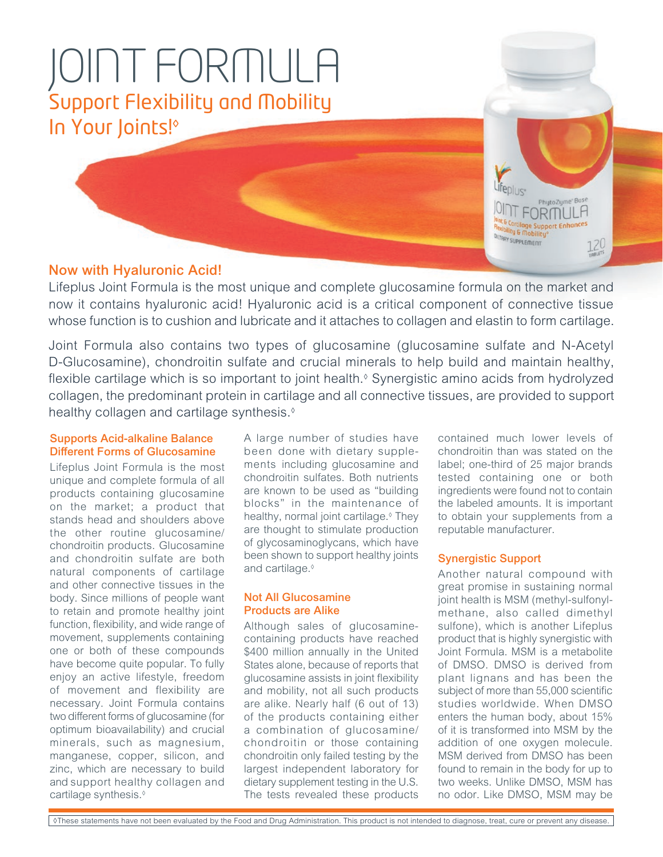# JOINT FORMULA Support Flexibility and Mobility In Your Joints!◊



Lifeplus Joint Formula is the most unique and complete glucosamine formula on the market and now it contains hyaluronic acid! Hyaluronic acid is a critical component of connective tissue whose function is to cushion and lubricate and it attaches to collagen and elastin to form cartilage.

Joint Formula also contains two types of glucosamine (glucosamine sulfate and N-Acetyl D-Glucosamine), chondroitin sulfate and crucial minerals to help build and maintain healthy, flexible cartilage which is so important to joint health.<sup>◊</sup> Synergistic amino acids from hydrolyzed collagen, the predominant protein in cartilage and all connective tissues, are provided to support healthy collagen and cartilage synthesis.◊

## Supports Acid-alkaline Balance Different Forms of Glucosamine

Lifeplus Joint Formula is the most unique and complete formula of all products containing glucosamine on the market; a product that stands head and shoulders above the other routine glucosamine/ chondroitin products. Glucosamine and chondroitin sulfate are both natural components of cartilage and other connective tissues in the body. Since millions of people want to retain and promote healthy joint function, flexibility, and wide range of movement, supplements containing one or both of these compounds have become quite popular. To fully enjoy an active lifestyle, freedom of movement and flexibility are necessary. Joint Formula contains two different forms of glucosamine (for optimum bioavailability) and crucial minerals, such as magnesium, manganese, copper, silicon, and zinc, which are necessary to build and support healthy collagen and cartilage synthesis.◊

A large number of studies have been done with dietary supplements including glucosamine and chondroitin sulfates. Both nutrients are known to be used as "building blocks" in the maintenance of healthy, normal joint cartilage.◊ They are thought to stimulate production of glycosaminoglycans, which have been shown to support healthy joints and cartilage.◊

## Not All Glucosamine Products are Alike

Although sales of glucosaminecontaining products have reached \$400 million annually in the United States alone, because of reports that glucosamine assists in joint flexibility and mobility, not all such products are alike. Nearly half (6 out of 13) of the products containing either a combination of glucosamine/ chondroitin or those containing chondroitin only failed testing by the largest independent laboratory for dietary supplement testing in the U.S. The tests revealed these products

contained much lower levels of chondroitin than was stated on the label; one-third of 25 major brands tested containing one or both ingredients were found not to contain the labeled amounts. It is important to obtain your supplements from a reputable manufacturer.

PhytoZyme' Bose ORMULA Cortilage Support Enhances

 $120$ 

bility & Mobility® **DETARY SUPPLEMENT** 

# Synergistic Support

Another natural compound with great promise in sustaining normal joint health is MSM (methyl-sulfonylmethane, also called dimethyl sulfone), which is another Lifeplus product that is highly synergistic with Joint Formula. MSM is a metabolite of DMSO. DMSO is derived from plant lignans and has been the subject of more than 55,000 scientific studies worldwide. When DMSO enters the human body, about 15% of it is transformed into MSM by the addition of one oxygen molecule. MSM derived from DMSO has been found to remain in the body for up to two weeks. Unlike DMSO, MSM has no odor. Like DMSO, MSM may be